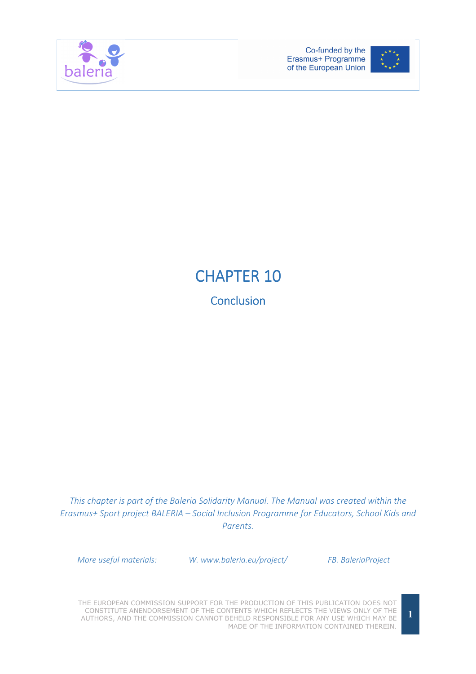



## CHAPTER 10 **Conclusion**

This chapter is part of the Baleria Solidarity Manual. The Manual was created within the Erasmus+ Sport project BALERIA – Social Inclusion Programme for Educators, School Kids and Parents.

More useful materials: W. www.baleria.eu/project/ FB. BaleriaProject

THE EUROPEAN COMMISSION SUPPORT FOR THE PRODUCTION OF THIS PUBLICATION DOES NOT CONSTITUTE ANENDORSEMENT OF THE CONTENTS WHICH REFLECTS THE VIEWS ONLY OF THE AUTHORS, AND THE COMMISSION CANNOT BEHELD RESPONSIBLE FOR ANY USE WHICH MAY BE MADE OF THE INFORMATION CONTAINED THEREIN.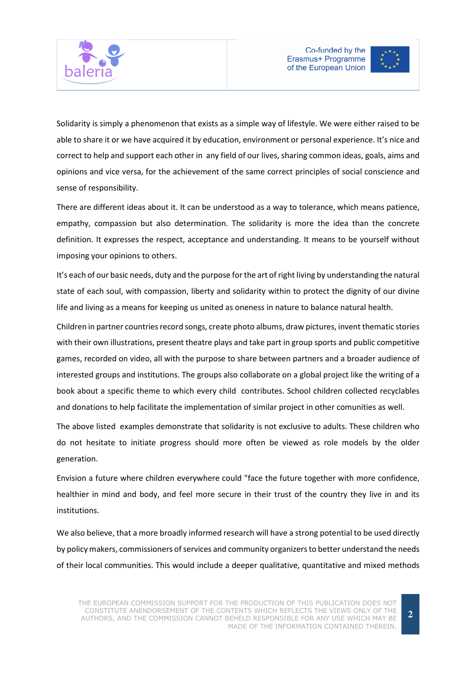



Solidarity is simply a phenomenon that exists as a simple way of lifestyle. We were either raised to be able to share it or we have acquired it by education, environment or personal experience. It's nice and correct to help and support each other in any field of our lives, sharing common ideas, goals, aims and opinions and vice versa, for the achievement of the same correct principles of social conscience and sense of responsibility.

There are different ideas about it. It can be understood as a way to tolerance, which means patience, empathy, compassion but also determination. The solidarity is more the idea than the concrete definition. It expresses the respect, acceptance and understanding. It means to be yourself without imposing your opinions to others.

It's each of our basic needs, duty and the purpose for the art of right living by understanding the natural state of each soul, with compassion, liberty and solidarity within to protect the dignity of our divine life and living as a means for keeping us united as oneness in nature to balance natural health.

Children in partner countries record songs, create photo albums, draw pictures, invent thematic stories with their own illustrations, present theatre plays and take part in group sports and public competitive games, recorded on video, all with the purpose to share between partners and a broader audience of interested groups and institutions. The groups also collaborate on a global project like the writing of a book about a specific theme to which every child contributes. School children collected recyclables and donations to help facilitate the implementation of similar project in other comunities as well.

The above listed examples demonstrate that solidarity is not exclusive to adults. These children who do not hesitate to initiate progress should more often be viewed as role models by the older generation.

Envision a future where children everywhere could "face the future together with more confidence, healthier in mind and body, and feel more secure in their trust of the country they live in and its institutions.

We also believe, that a more broadly informed research will have a strong potential to be used directly by policy makers, commissioners of services and community organizers to better understand the needs of their local communities. This would include a deeper qualitative, quantitative and mixed methods